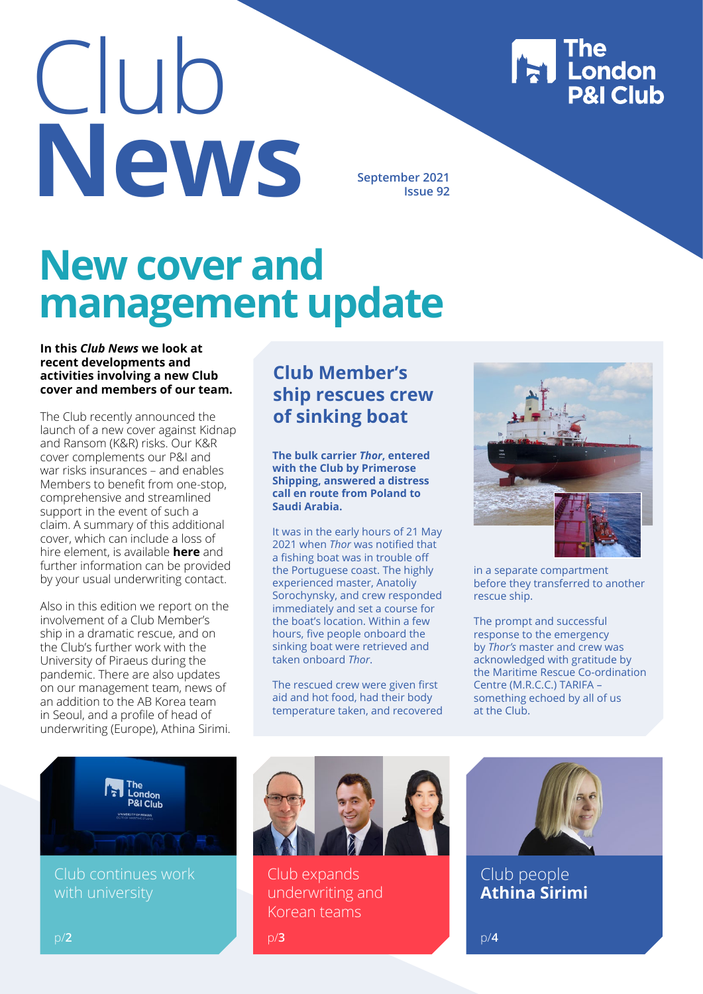Club **New September 2021**<br> **September 2021** 

**Issue 92**

## **New cover and management update**

#### **In this** *Club News* **we look at recent developments and activities involving a new Club cover and members of our team.**

The Club recently announced the launch of a new cover against Kidnap and Ransom (K&R) risks. Our K&R cover complements our P&I and war risks insurances – and enables Members to benefit from one-stop, comprehensive and streamlined support in the event of such a claim. A summary of this additional cover, which can include a loss of hire element, is available **[here](https://www.londonpandi.com/documents/london-pi-kr-cover/)** and further information can be provided by your usual underwriting contact.

Also in this edition we report on the involvement of a Club Member's ship in a dramatic rescue, and on the Club's further work with the University of Piraeus during the pandemic. There are also updates on our management team, news of an addition to the AB Korea team in Seoul, and a profile of head of underwriting (Europe), Athina Sirimi.

#### **Club Member's ship rescues crew of sinking boat**

**The bulk carrier** *Thor***, entered with the Club by Primerose Shipping, answered a distress call en route from Poland to Saudi Arabia.**

It was in the early hours of 21 May 2021 when *Thor* was notified that a fishing boat was in trouble off the Portuguese coast. The highly experienced master, Anatoliy Sorochynsky, and crew responded immediately and set a course for the boat's location. Within a few hours, five people onboard the sinking boat were retrieved and taken onboard *Thor*.

The rescued crew were given first aid and hot food, had their body temperature taken, and recovered



**The London<br>P&I Club** 

in a separate compartment before they transferred to another rescue ship.

The prompt and successful response to the emergency by *Thor's* master and crew was acknowledged with gratitude by the Maritime Rescue Co-ordination Centre (M.R.C.C.) TARIFA – something echoed by all of us at the Club.



Club continues work with university



Club expands underwriting and Korean teams



Club people **Athina Sirimi**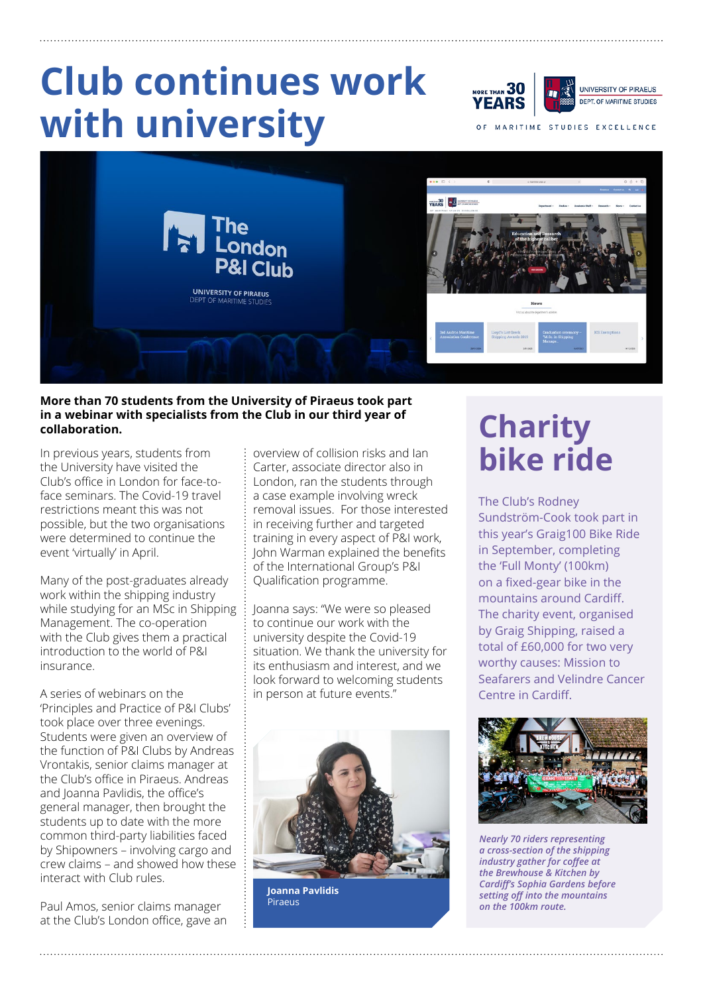# **Club continues work with university**

ORE THAN  $30$ UNIVERSITY OF PIRAEUS DEPT. OF MARITIME STUDIES YEARS

MARITIME STUDIES EXCELLENCE



#### **More than 70 students from the University of Piraeus took part in a webinar with specialists from the Club in our third year of**  in a webinar with specialists from the Club in our third year of  $\mathsf{char}$   $\mathsf{char}$   $\mathsf{char}$   $\mathsf{c}$   $\mathsf{harity}$

In previous years, students from the University have visited the Club's office in London for face-toface seminars. The Covid-19 travel restrictions meant this was not possible, but the two organisations were determined to continue the event 'virtually' in April.

Many of the post-graduates already work within the shipping industry while studying for an MSc in Shipping Management. The co-operation with the Club gives them a practical introduction to the world of P&I insurance.

A series of webinars on the 'Principles and Practice of P&I Clubs' took place over three evenings. Students were given an overview of the function of P&I Clubs by Andreas Vrontakis, senior claims manager at the Club's office in Piraeus. Andreas and Joanna Pavlidis, the office's general manager, then brought the students up to date with the more common third-party liabilities faced by Shipowners – involving cargo and crew claims – and showed how these interact with Club rules.

Paul Amos, senior claims manager at the Club's London office, gave an

overview of collision risks and Ian Carter, associate director also in London, ran the students through a case example involving wreck removal issues. For those interested in receiving further and targeted training in every aspect of P&I work, John Warman explained the benefits of the International Group's P&I Qualification programme.

Joanna says: "We were so pleased to continue our work with the university despite the Covid-19 situation. We thank the university for its enthusiasm and interest, and we look forward to welcoming students in person at future events."



**Joanna Pavlidis Piraeus** 

# **bike ride**

The Club's Rodney Sundström-Cook took part in this year's Graig100 Bike Ride in September, completing the 'Full Monty' (100km) on a fixed-gear bike in the mountains around Cardiff. The charity event, organised by Graig Shipping, raised a total of £60,000 for two very worthy causes: Mission to Seafarers and Velindre Cancer Centre in Cardiff.



*Nearly 70 riders representing a cross-section of the shipping industry gather for coffee at the Brewhouse & Kitchen by Cardiff's Sophia Gardens before setting off into the mountains on the 100km route.*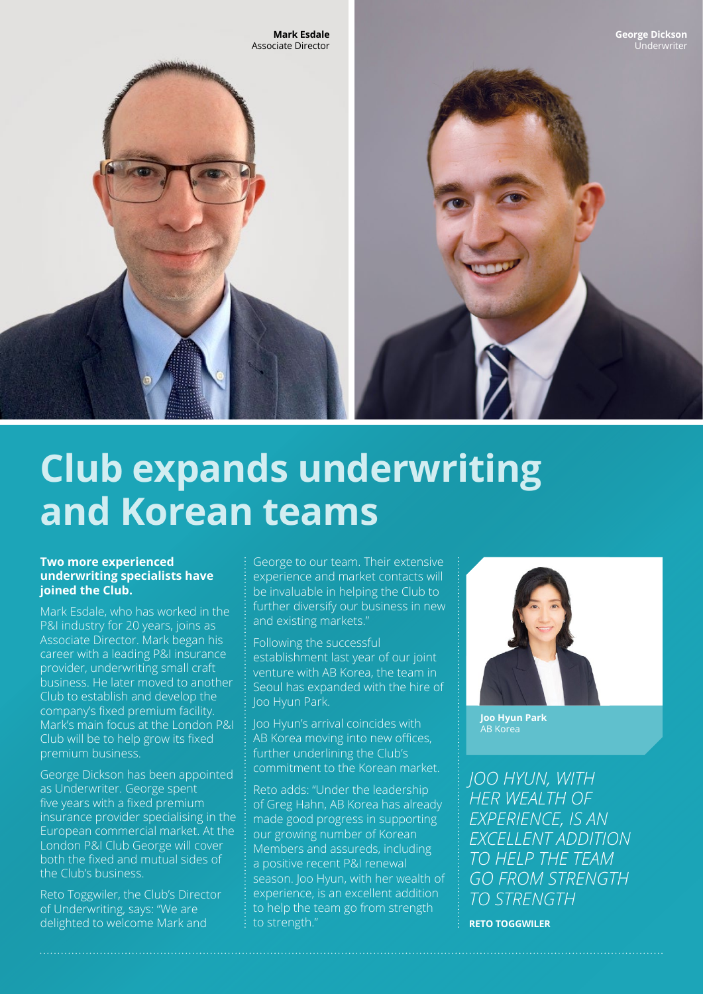

## **Club expands underwriting and Korean teams**

#### **Two more experienced underwriting specialists have joined the Club.**

Mark Esdale, who has worked in the P&I industry for 20 years, joins as Associate Director. Mark began his career with a leading P&I insurance provider, underwriting small craft business. He later moved to another Club to establish and develop the company's fixed premium facility. Mark's main focus at the London P&I Club will be to help grow its fixed premium business.

George Dickson has been appointed as Underwriter. George spent five years with a fixed premium insurance provider specialising in the European commercial market. At the London P&I Club George will cover both the fixed and mutual sides of the Club's business.

Reto Toggwiler, the Club's Director of Underwriting, says: "We are delighted to welcome Mark and

George to our team. Their extensive experience and market contacts will be invaluable in helping the Club to further diversify our business in new and existing markets."

Following the successful establishment last year of our joint venture with AB Korea, the team in Seoul has expanded with the hire of Joo Hyun Park.

Joo Hyun's arrival coincides with AB Korea moving into new offices, further underlining the Club's commitment to the Korean market.

Reto adds: "Under the leadership of Greg Hahn, AB Korea has already made good progress in supporting our growing number of Korean Members and assureds, including a positive recent P&I renewal season. Joo Hyun, with her wealth of experience, is an excellent addition to help the team go from strength to strength."



**Joo Hyun Park** AB Korea

*JOO HYUN, WITH HER WEALTH OF EXPERIENCE, IS AN EXCELLENT ADDITION TO HELP THE TEAM GO FROM STRENGTH TO STRENGTH*

**RETO TOGGWILER**